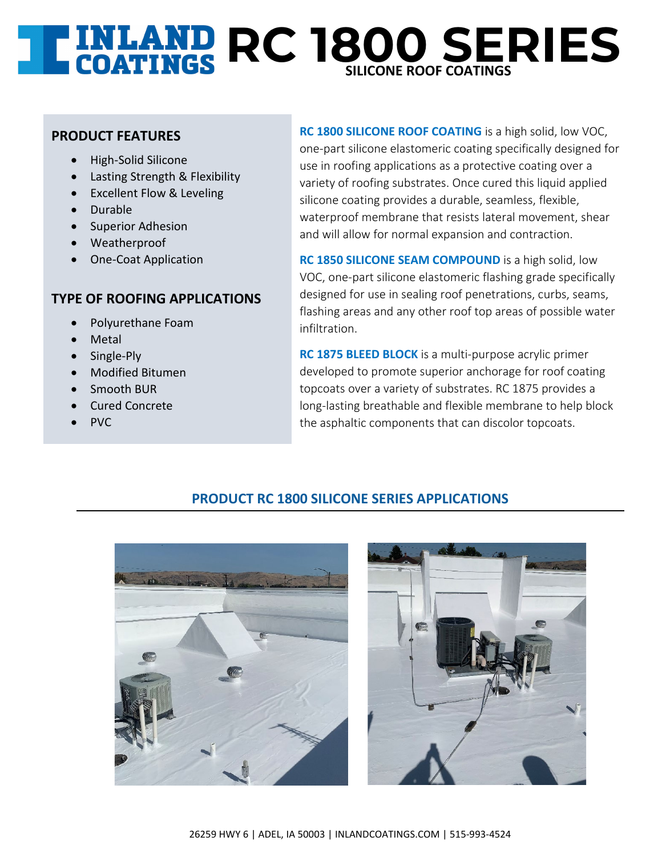# **RC 1800 SERIES SILICONE ROOF COATINGS**

### **PRODUCT FEATURES**

- High-Solid Silicone
- Lasting Strength & Flexibility
- Excellent Flow & Leveling
- Durable
- Superior Adhesion
- Weatherproof
- One-Coat Application

## **TYPE OF ROOFING APPLICATIONS**

- Polyurethane Foam
- **Metal**
- Single-Ply
- Modified Bitumen
- Smooth BUR
- Cured Concrete
- PVC

**RC 1800 SILICONE ROOF COATING** is a high solid, low VOC, one-part silicone elastomeric coating specifically designed for use in roofing applications as a protective coating over a variety of roofing substrates. Once cured this liquid applied silicone coating provides a durable, seamless, flexible, waterproof membrane that resists lateral movement, shear and will allow for normal expansion and contraction.

**RC 1850 SILICONE SEAM COMPOUND** is a high solid, low VOC, one-part silicone elastomeric flashing grade specifically designed for use in sealing roof penetrations, curbs, seams, flashing areas and any other roof top areas of possible water infiltration.

**RC 1875 BLEED BLOCK** is a multi-purpose acrylic primer developed to promote superior anchorage for roof coating topcoats over a variety of substrates. RC 1875 provides a long-lasting breathable and flexible membrane to help block the asphaltic components that can discolor topcoats.

## **PRODUCT RC 1800 SILICONE SERIES APPLICATIONS**